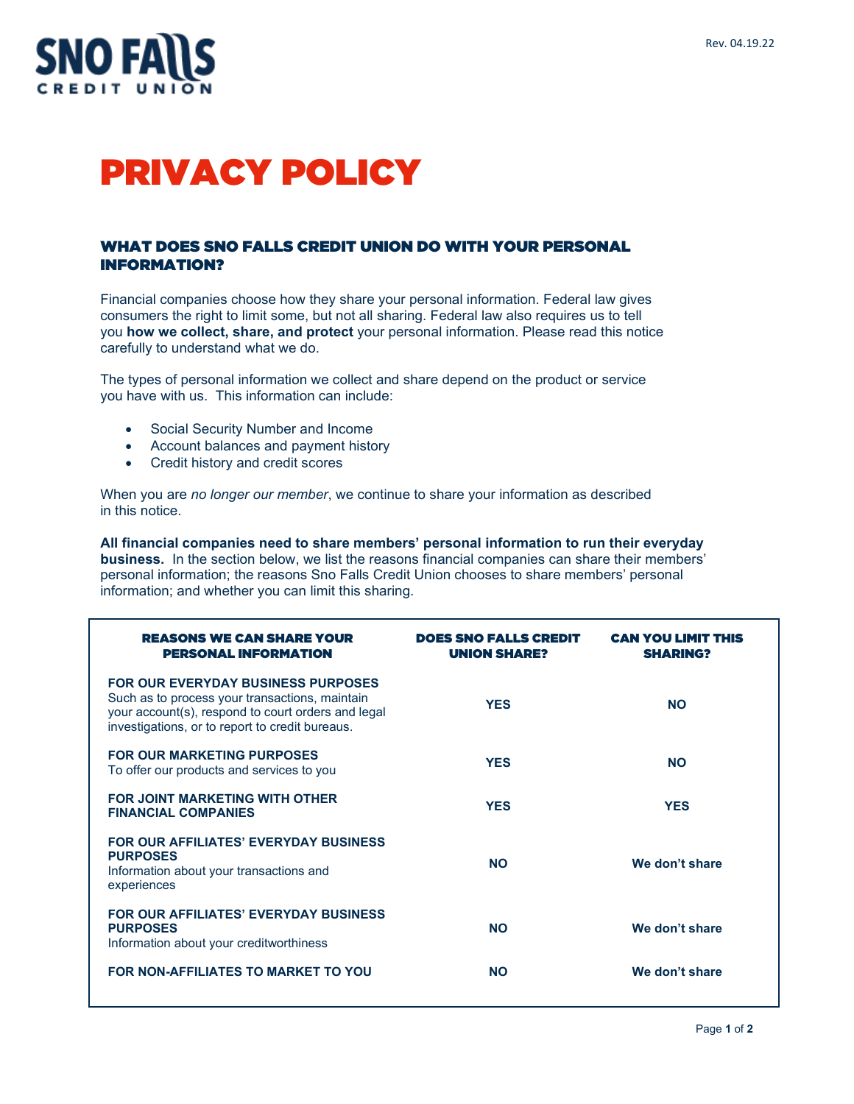

# PRIVACY POLICY

#### WHAT DOES SNO FALLS CREDIT UNION DO WITH YOUR PERSONAL INFORMATION?

Financial companies choose how they share your personal information. Federal law gives consumers the right to limit some, but not all sharing. Federal law also requires us to tell you **how we collect, share, and protect** your personal information. Please read this notice carefully to understand what we do.

The types of personal information we collect and share depend on the product or service you have with us. This information can include:

- Social Security Number and Income
- Account balances and payment history
- Credit history and credit scores

When you are *no longer our member*, we continue to share your information as described in this notice.

**All financial companies need to share members' personal information to run their everyday business.** In the section below, we list the reasons financial companies can share their members' personal information; the reasons Sno Falls Credit Union chooses to share members' personal information; and whether you can limit this sharing.

| <b>REASONS WE CAN SHARE YOUR</b><br>PERSONAL INFORMATION                                                                                                                                             | <b>DOES SNO FALLS CREDIT</b><br><b>UNION SHARE?</b> | <b>CAN YOU LIMIT THIS</b><br><b>SHARING?</b> |
|------------------------------------------------------------------------------------------------------------------------------------------------------------------------------------------------------|-----------------------------------------------------|----------------------------------------------|
| <b>FOR OUR EVERYDAY BUSINESS PURPOSES</b><br>Such as to process your transactions, maintain<br>your account(s), respond to court orders and legal<br>investigations, or to report to credit bureaus. | <b>YES</b>                                          | <b>NO</b>                                    |
| <b>FOR OUR MARKETING PURPOSES</b><br>To offer our products and services to you                                                                                                                       | <b>YES</b>                                          | <b>NO</b>                                    |
| <b>FOR JOINT MARKETING WITH OTHER</b><br><b>FINANCIAL COMPANIES</b>                                                                                                                                  | <b>YES</b>                                          | <b>YES</b>                                   |
| FOR OUR AFFILIATES' EVERYDAY BUSINESS<br><b>PURPOSES</b><br>Information about your transactions and<br>experiences                                                                                   | <b>NO</b>                                           | We don't share                               |
| <b>FOR OUR AFFILIATES' EVERYDAY BUSINESS</b><br><b>PURPOSES</b><br>Information about your creditworthiness                                                                                           | <b>NO</b>                                           | We don't share                               |
| FOR NON-AFFILIATES TO MARKET TO YOU                                                                                                                                                                  | <b>NO</b>                                           | We don't share                               |